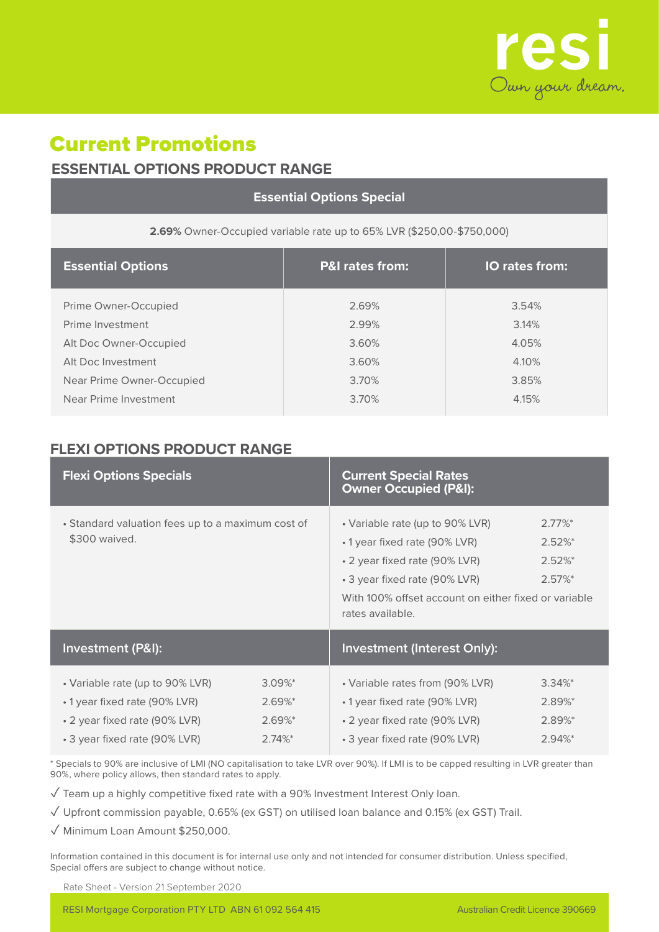

## Current Promotions **ESSENTIAL OPTIONS PRODUCT RANGE**

| <b>Essential Options Special</b>                                         |                            |                         |  |  |  |  |  |
|--------------------------------------------------------------------------|----------------------------|-------------------------|--|--|--|--|--|
| 2.69% Owner-Occupied variable rate up to 65% LVR (\$250,00-\$750,000)    |                            |                         |  |  |  |  |  |
| <b>Essential Options</b>                                                 | <b>P&amp;I rates from:</b> | IO rates from:          |  |  |  |  |  |
| Prime Owner-Occupied<br>Prime Investment<br>Alt Doc Owner-Occupied       | 2.69%<br>2.99%<br>3.60%    | 3.54%<br>3.14%<br>4.05% |  |  |  |  |  |
| Alt Doc Investment<br>Near Prime Owner-Occupied<br>Near Prime Investment | 3.60%<br>3.70%<br>3.70%    | 4.10%<br>3.85%<br>4.15% |  |  |  |  |  |

## **FLEXI OPTIONS PRODUCT RANGE**

| <b>Flexi Options Specials</b>                                                                                                      |                                                     | <b>Current Special Rates</b><br><b>Owner Occupied (P&amp;I):</b>                                                                                                                                                                                                       |                                                         |  |
|------------------------------------------------------------------------------------------------------------------------------------|-----------------------------------------------------|------------------------------------------------------------------------------------------------------------------------------------------------------------------------------------------------------------------------------------------------------------------------|---------------------------------------------------------|--|
| • Standard valuation fees up to a maximum cost of<br>\$300 waived.                                                                 |                                                     | • Variable rate (up to 90% LVR)<br>$2.77\%$ *<br>$2.52\%$ *<br>• 1 year fixed rate (90% LVR)<br>$2.52\%$ *<br>• 2 year fixed rate (90% LVR)<br>$2.57\%$ *<br>• 3 year fixed rate (90% LVR)<br>With 100% offset account on either fixed or variable<br>rates available. |                                                         |  |
| <b>Investment (P&amp;I):</b>                                                                                                       |                                                     | <b>Investment (Interest Only):</b>                                                                                                                                                                                                                                     |                                                         |  |
| • Variable rate (up to 90% LVR)<br>• 1 year fixed rate (90% LVR)<br>• 2 year fixed rate (90% LVR)<br>• 3 year fixed rate (90% LVR) | $3.09\%$ *<br>$2.69%$ *<br>$2.69\%$ *<br>$2.74\%$ * | • Variable rates from (90% LVR)<br>• 1 year fixed rate (90% LVR)<br>• 2 year fixed rate (90% LVR)<br>• 3 year fixed rate (90% LVR)                                                                                                                                     | $3.34\%$ *<br>2.89%*<br>2.89%*<br>$2.94\%$ <sup>*</sup> |  |

\* Specials to 90% are inclusive of LMI (NO capitalisation to take LVR over 90%). If LMI is to be capped resulting in LVR greater than 90%, where policy allows, then standard rates to apply.

✓ Team up a highly competitive fixed rate with a 90% Investment Interest Only loan.

✓ Upfront commission payable, 0.65% (ex GST) on utilised loan balance and 0.15% (ex GST) Trail.

✓ Minimum Loan Amount \$250,000.

Information contained in this document is for internal use only and not intended for consumer distribution. Unless specified, Special offers are subject to change without notice.

Rate Sheet - Version 21 September 2020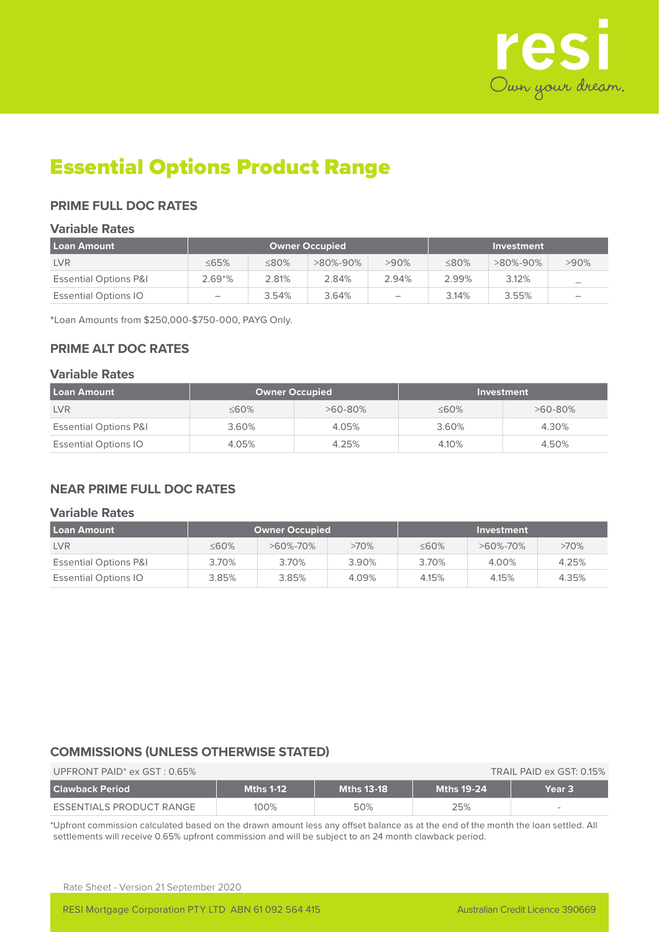

## Essential Options Product Range

## **PRIME FULL DOC RATES**

#### **Variable Rates**

| l Loan Amount                    | Owner Occupied           |       |          |         |             | Investment     |                          |
|----------------------------------|--------------------------|-------|----------|---------|-------------|----------------|--------------------------|
| <b>LVR</b>                       | ≤65%                     | ≤80%  | >80%-90% | $>90\%$ | $\leq 80\%$ | $>80\% - 90\%$ | >90%                     |
| <b>Essential Options P&amp;I</b> | $2.69*%$                 | 2.81% | 2.84%    | 2.94%   | 2.99%       | 3.12%          |                          |
| <b>Essential Options IO</b>      | $\overline{\phantom{0}}$ | 3.54% | 3.64%    |         | 3.14%       | $3.55\%$       | $\overline{\phantom{a}}$ |

\*Loan Amounts from \$250,000-\$750-000, PAYG Only.

## **PRIME ALT DOC RATES**

#### **Variable Rates**

| Loan Amount                      | <b>Owner Occupied</b> |           |             | Investment |
|----------------------------------|-----------------------|-----------|-------------|------------|
| <b>LVR</b>                       | $\leq 60\%$           | $>60-80%$ | $\leq 60\%$ | $>60-80\%$ |
| <b>Essential Options P&amp;I</b> | 3.60%                 | 4.05%     | 3.60%       | 4.30%      |
| <b>Essential Options IO</b>      | 4.05%                 | 4.25%     | 4.10%       | 4.50%      |

## **NEAR PRIME FULL DOC RATES**

#### **Variable Rates**

| l Loan Amount                    | <b>Owner Occupied</b> |                |         |             | Investment |         |
|----------------------------------|-----------------------|----------------|---------|-------------|------------|---------|
| <b>LVR</b>                       | $\leq 60\%$           | $>60\% - 70\%$ | $>70\%$ | $\leq 60\%$ | >60%-70%   | $>70\%$ |
| <b>Essential Options P&amp;I</b> | 3.70%                 | 3.70%          | 3.90%   | 3.70%       | 4.00%      | 4.25%   |
| <b>Essential Options IO</b>      | 3.85%                 | 3.85%          | 4.09%   | 4.15%       | 4.15%      | 4.35%   |

## **COMMISSIONS (UNLESS OTHERWISE STATED)**

| UPFRONT PAID <sup>*</sup> ex $GST: 0.65\%$ | TRAIL PAID ex GST: 0.15% |                   |                   |        |  |  |
|--------------------------------------------|--------------------------|-------------------|-------------------|--------|--|--|
| l Clawback Period                          | <b>Mths 1-12</b>         | <b>Mths 13-18</b> | <b>Mths 19-24</b> | Year 3 |  |  |
| ESSENTIALS PRODUCT RANGE                   | 100%                     | 50%               | 25%               | $\sim$ |  |  |

\*Upfront commission calculated based on the drawn amount less any offset balance as at the end of the month the loan settled. All settlements will receive 0.65% upfront commission and will be subject to an 24 month clawback period.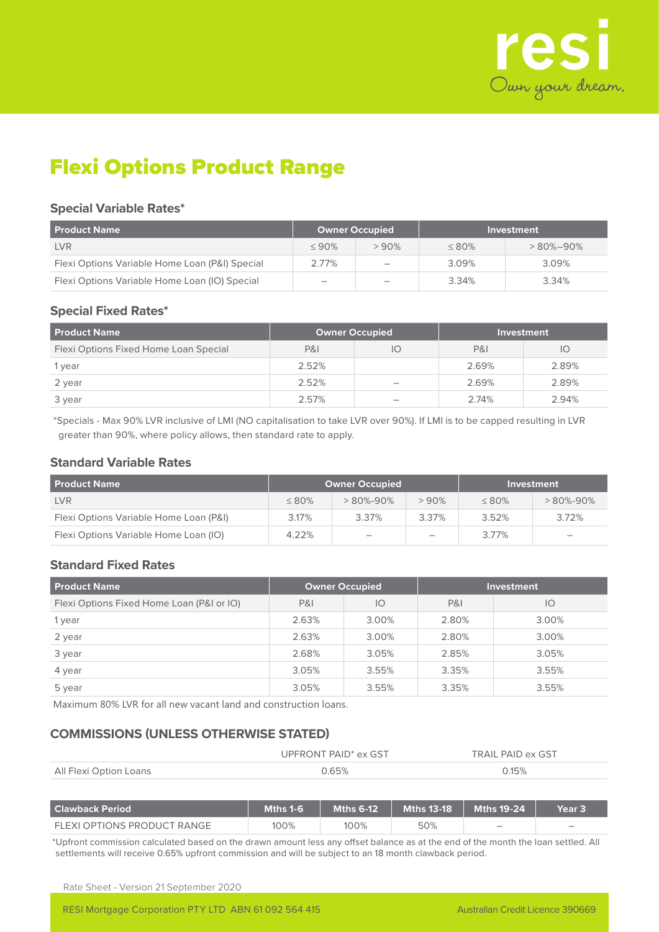

# Flexi Options Product Range

#### **Special Variable Rates\***

| <b>Product Name</b>                            | <b>Owner Occupied</b>    |                          |             | Investment     |
|------------------------------------------------|--------------------------|--------------------------|-------------|----------------|
| <b>LVR</b>                                     | $\leq 90\%$              | $>90\%$                  | $\leq 80\%$ | $>80\% - 90\%$ |
| Flexi Options Variable Home Loan (P&I) Special | 2.77%                    | $\overline{\phantom{a}}$ | 3.09%       | 3.09%          |
| Flexi Options Variable Home Loan (IO) Special  | $\overline{\phantom{0}}$ | $\overline{\phantom{a}}$ | 3.34%       | 3.34%          |

## **Special Fixed Rates\***

| <b>Product Name</b>                   | <b>Owner Occupied</b> |                                 |                | Investment |
|---------------------------------------|-----------------------|---------------------------------|----------------|------------|
| Flexi Options Fixed Home Loan Special | P&I                   | IO                              | <b>P&amp;I</b> | IО         |
| 1 year                                | 2.52%                 |                                 | 2.69%          | 2.89%      |
| 2 year                                | 2.52%                 |                                 | 2.69%          | 2.89%      |
| 3 year                                | 2.57%                 | $\hspace{0.1mm}-\hspace{0.1mm}$ | 2.74%          | 2.94%      |

\*Specials - Max 90% LVR inclusive of LMI (NO capitalisation to take LVR over 90%). If LMI is to be capped resulting in LVR greater than 90%, where policy allows, then standard rate to apply.

#### **Standard Variable Rates**

| <b>Product Name</b>                    | <b>Owner Occupied</b> |                          |                          | Investment  |                          |  |
|----------------------------------------|-----------------------|--------------------------|--------------------------|-------------|--------------------------|--|
| <b>LVR</b>                             | $\leq 80\%$           | $>80\% - 90\%$           | $>90\%$                  | $\leq 80\%$ | $>80\% - 90\%$           |  |
| Flexi Options Variable Home Loan (P&I) | 3.17%                 | 3.37%                    | 3.37%                    | 3.52%       | 3.72%                    |  |
| Flexi Options Variable Home Loan (IO)  | 4.22%                 | $\overline{\phantom{a}}$ | $\overline{\phantom{a}}$ | 3.77%       | $\overline{\phantom{a}}$ |  |

## **Standard Fixed Rates**

| <b>Product Name</b>                       | <b>Owner Occupied</b> |       |                | <b>Investment</b> |
|-------------------------------------------|-----------------------|-------|----------------|-------------------|
| Flexi Options Fixed Home Loan (P&I or IO) | <b>P&amp;I</b>        | IO    | <b>P&amp;I</b> | IO                |
| 1 year                                    | 2.63%                 | 3.00% | 2.80%          | 3.00%             |
| 2 year                                    | 2.63%                 | 3.00% | 2.80%          | 3.00%             |
| 3 year                                    | 2.68%                 | 3.05% | 2.85%          | 3.05%             |
| 4 year                                    | 3.05%                 | 3.55% | 3.35%          | 3.55%             |
| 5 year                                    | 3.05%                 | 3.55% | 3.35%          | 3.55%             |

Maximum 80% LVR for all new vacant land and construction loans.

## **COMMISSIONS (UNLESS OTHERWISE STATED)**

|                        | UPFRONT PAID <sup>*</sup> ex GST |       |
|------------------------|----------------------------------|-------|
| All Flexi Option Loans | ገ 65%                            | 2.15% |

| l Clawback Period           | <b>Mths 1-6</b> | Mths 6-12 $^{\rm h}$ | Mths 13-18 Mths 19-24 |                          | Year 3                   |
|-----------------------------|-----------------|----------------------|-----------------------|--------------------------|--------------------------|
| FLEXI OPTIONS PRODUCT RANGE | 100%            | 100%                 | 50%                   | $\overline{\phantom{a}}$ | $\overline{\phantom{a}}$ |

\*Upfront commission calculated based on the drawn amount less any offset balance as at the end of the month the loan settled. All settlements will receive 0.65% upfront commission and will be subject to an 18 month clawback period.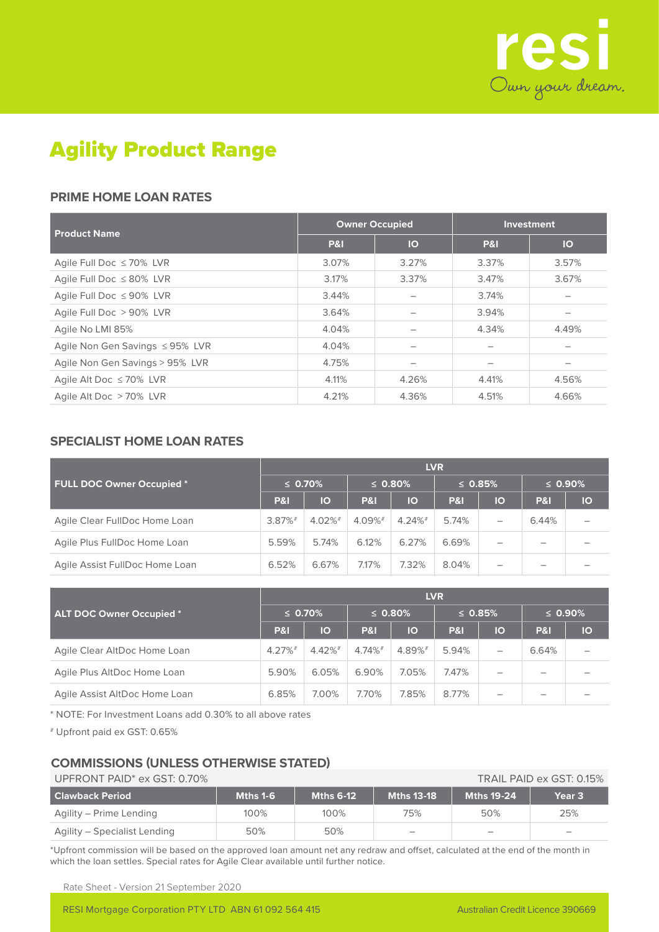

# Agility Product Range

## **PRIME HOME LOAN RATES**

| <b>Product Name</b>             | <b>Owner Occupied</b> |       | <b>Investment</b> |           |  |
|---------------------------------|-----------------------|-------|-------------------|-----------|--|
|                                 | P&I                   | IO    | <b>P&amp;I</b>    | <b>IO</b> |  |
| Agile Full Doc $\leq 70\%$ LVR  | 3.07%                 | 3.27% | 3.37%             | 3.57%     |  |
| Agile Full Doc ≤80% LVR         | 3.17%                 | 3.37% | 3.47%             | 3.67%     |  |
| Agile Full Doc ≤ 90% LVR        | 3.44%                 |       | 3.74%             |           |  |
| Agile Full Doc > 90% LVR        | 3.64%                 |       | 3.94%             |           |  |
| Agile No LMI 85%                | 4.04%                 |       | 4.34%             | 4.49%     |  |
| Agile Non Gen Savings ≤95% LVR  | 4.04%                 |       |                   |           |  |
| Agile Non Gen Savings > 95% LVR | 4.75%                 |       |                   |           |  |
| Agile Alt Doc $\leq 70\%$ LVR   | 4.11%                 | 4.26% | 4.41%             | 4.56%     |  |
| Agile Alt Doc > 70% LVR         | 4.21%                 | 4.36% | 4.51%             | 4.66%     |  |

## **SPECIALIST HOME LOAN RATES**

|                                | <b>LVR</b>     |            |                       |            |                |    |                |    |  |
|--------------------------------|----------------|------------|-----------------------|------------|----------------|----|----------------|----|--|
| FULL DOC Owner Occupied*       | $\leq 0.70\%$  |            | $\leq$ 0.80%          |            | $\leq$ 0.85%   |    | $\leq 0.90\%$  |    |  |
|                                | <b>P&amp;I</b> | IO         | <b>P&amp;I</b>        | IO         | <b>P&amp;I</b> | IO | <b>P&amp;I</b> | IO |  |
| Agile Clear FullDoc Home Loan  | $3.87\%$ #     | $4.02\%$ # | $4.09\%$ <sup>#</sup> | $4.24\%$ # | 5.74%          | –  | 6.44%          |    |  |
| Agile Plus FullDoc Home Loan   | 5.59%          | 5.74%      | 6.12%                 | 6.27%      | 6.69%          |    |                |    |  |
| Agile Assist FullDoc Home Loan | 6.52%          | 6.67%      | 7.17%                 | 7.32%      | 8.04%          |    |                |    |  |

|                                 | <b>LVR</b>            |          |                       |        |                |                          |                          |    |  |
|---------------------------------|-----------------------|----------|-----------------------|--------|----------------|--------------------------|--------------------------|----|--|
| <b>ALT DOC Owner Occupied *</b> | $\leq 0.70\%$         |          | $\leq 0.80\%$         |        | $\leq$ 0.85%   |                          | $\leq 0.90\%$            |    |  |
|                                 | <b>P&amp;I</b>        | IO       | <b>P&amp;I</b>        | IO     | <b>P&amp;I</b> | IO                       | <b>P&amp;I</b>           | IO |  |
| Agile Clear AltDoc Home Loan    | $4.27\%$ <sup>#</sup> | $4.42\%$ | $4.74\%$ <sup>#</sup> | 4.89%# | 5.94%          | $\overline{\phantom{a}}$ | 6.64%                    |    |  |
| Agile Plus AltDoc Home Loan     | 5.90%                 | 6.05%    | 6.90%                 | 7.05%  | 7.47%          |                          | $\overline{\phantom{a}}$ |    |  |
| Agile Assist AltDoc Home Loan   | 6.85%                 | 7.00%    | 7.70%                 | 7.85%  | 8.77%          |                          |                          |    |  |

\* NOTE: For Investment Loans add 0.30% to all above rates

# Upfront paid ex GST: 0.65%

## **COMMISSIONS (UNLESS OTHERWISE STATED)**

| UPFRONT PAID <sup>*</sup> ex GST: 0.70%<br>TRAIL PAID ex GST: 0.15% |          |                  |                          |                   |                          |  |  |
|---------------------------------------------------------------------|----------|------------------|--------------------------|-------------------|--------------------------|--|--|
| <b>Clawback Period</b>                                              | Mths 1-6 | <b>Mths 6-12</b> | <b>Mths 13-18</b>        | <b>Mths 19-24</b> | Year 3                   |  |  |
| Agility – Prime Lending                                             | 100%     | 100%             | 75%                      | 50%               | 25%                      |  |  |
| Agility – Specialist Lending                                        | 50%      | 50%              | $\overline{\phantom{a}}$ |                   | $\overline{\phantom{a}}$ |  |  |

\*Upfront commission will be based on the approved loan amount net any redraw and offset, calculated at the end of the month in which the loan settles. Special rates for Agile Clear available until further notice.

Rate Sheet - Version 21 September 2020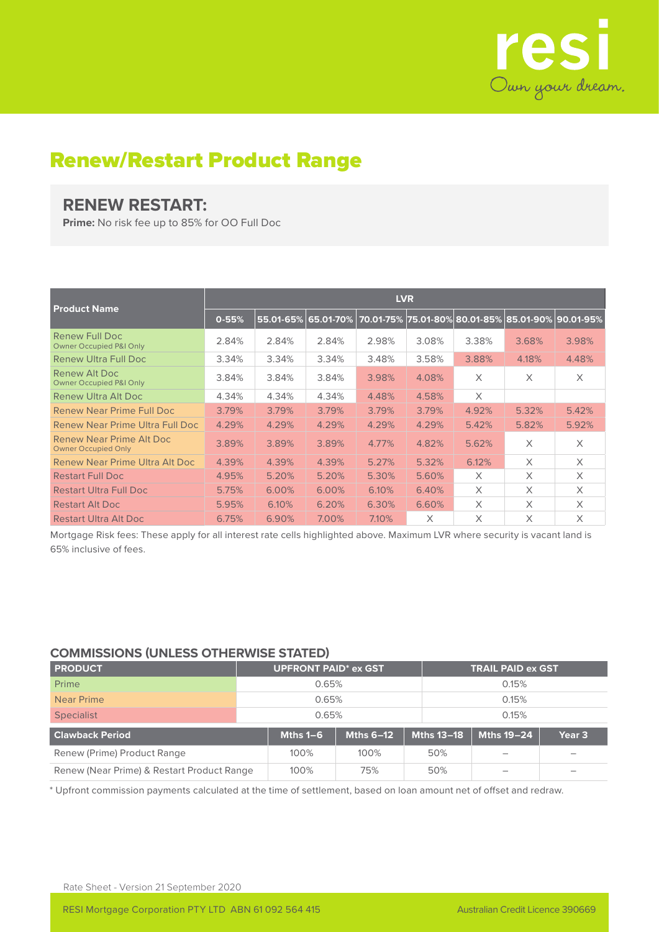

## Renew/Restart Product Range

## **RENEW RESTART:**

**Prime:** No risk fee up to 85% for OO Full Doc

|                                                        | <b>LVR</b> |           |           |       |       |          |                                                   |          |  |  |
|--------------------------------------------------------|------------|-----------|-----------|-------|-------|----------|---------------------------------------------------|----------|--|--|
| <b>Product Name</b>                                    | $0 - 55%$  | 55.01-65% | 65.01-70% |       |       |          | 70.01-75% 75.01-80% 80.01-85% 85.01-90% 90.01-95% |          |  |  |
| Renew Full Doc<br><b>Owner Occupied P&amp;I Only</b>   | 2.84%      | 2.84%     | 2.84%     | 2.98% | 3.08% | 3.38%    | 3.68%                                             | 3.98%    |  |  |
| <b>Renew Ultra Full Doc</b>                            | 3.34%      | 3.34%     | 3.34%     | 3.48% | 3.58% | 3.88%    | 4.18%                                             | 4.48%    |  |  |
| Renew Alt Doc<br><b>Owner Occupied P&amp;I Only</b>    | 3.84%      | 3.84%     | 3.84%     | 3.98% | 4.08% | X        | X                                                 | $\times$ |  |  |
| Renew Ultra Alt Doc                                    | 4.34%      | 4.34%     | 4.34%     | 4.48% | 4.58% | $\times$ |                                                   |          |  |  |
| Renew Near Prime Full Doc                              | 3.79%      | 3.79%     | 3.79%     | 3.79% | 3.79% | 4.92%    | 5.32%                                             | 5.42%    |  |  |
| Renew Near Prime Ultra Full Doc                        | 4.29%      | 4.29%     | 4.29%     | 4.29% | 4.29% | 5.42%    | 5.82%                                             | 5.92%    |  |  |
| Renew Near Prime Alt Doc<br><b>Owner Occupied Only</b> | 3.89%      | 3.89%     | 3.89%     | 4.77% | 4.82% | 5.62%    | X                                                 | X        |  |  |
| Renew Near Prime Ultra Alt Doc                         | 4.39%      | 4.39%     | 4.39%     | 5.27% | 5.32% | 6.12%    | X                                                 | X        |  |  |
| <b>Restart Full Doc</b>                                | 4.95%      | 5.20%     | 5.20%     | 5.30% | 5.60% | $\times$ | X                                                 | X        |  |  |
| <b>Restart Ultra Full Doc</b>                          | 5.75%      | 6.00%     | 6.00%     | 6.10% | 6.40% | X        | X                                                 | X        |  |  |
| <b>Restart Alt Doc</b>                                 | 5.95%      | 6.10%     | 6.20%     | 6.30% | 6.60% | $\times$ | X                                                 | X        |  |  |
| <b>Restart Ultra Alt Doc</b>                           | 6.75%      | 6.90%     | 7.00%     | 7.10% | X     | X        | X                                                 | X        |  |  |

Mortgage Risk fees: These apply for all interest rate cells highlighted above. Maximum LVR where security is vacant land is 65% inclusive of fees.

## **COMMISSIONS (UNLESS OTHERWISE STATED)**

| <b>PRODUCT</b>                             |       | <b>UPFRONT PAID* ex GST</b> |                  |                   | <b>TRAIL PAID ex GST</b> |                   |  |  |
|--------------------------------------------|-------|-----------------------------|------------------|-------------------|--------------------------|-------------------|--|--|
| Prime                                      |       | 0.65%                       |                  |                   | 0.15%                    |                   |  |  |
| Near Prime                                 | 0.65% |                             |                  |                   | 0.15%                    |                   |  |  |
| Specialist                                 | 0.65% |                             |                  |                   | 0.15%                    |                   |  |  |
| <b>Clawback Period</b>                     |       | Mths $1-6$                  | <b>Mths 6-12</b> | <b>Mths 13-18</b> | Mths 19-24               | Year <sub>3</sub> |  |  |
| Renew (Prime) Product Range                |       | 100%                        | 100%             | 50%               |                          |                   |  |  |
| Renew (Near Prime) & Restart Product Range |       | 100%                        | 75%              | 50%               |                          |                   |  |  |

\* Upfront commission payments calculated at the time of settlement, based on loan amount net of offset and redraw.